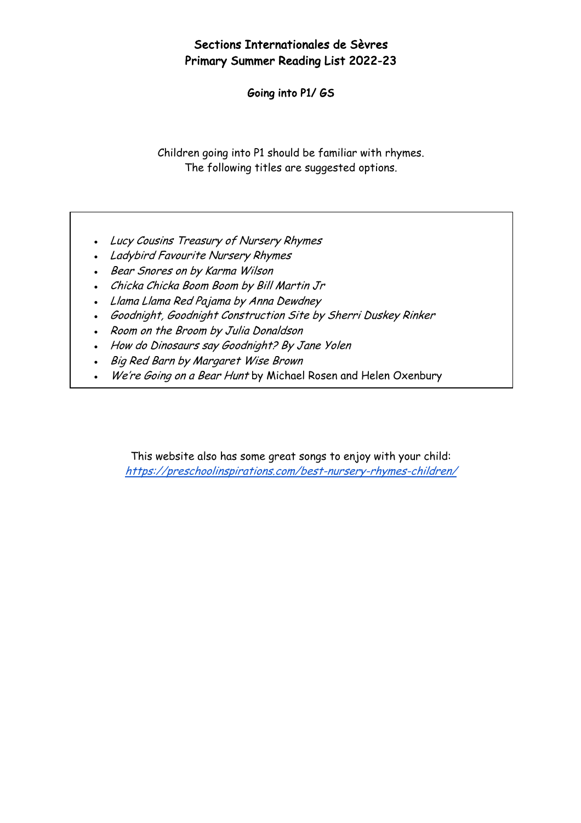## Sections Internationales de Sèvres Primary Summer Reading List 2022-23

Going into P1/ GS

Children going into P1 should be familiar with rhymes. The following titles are suggested options.

- Lucy Cousins Treasury of Nursery Rhymes
- Ladybird Favourite Nursery Rhymes
- Bear Snores on by Karma Wilson
- Chicka Chicka Boom Boom by Bill Martin Jr
- Llama Llama Red Pajama by Anna Dewdney
- Goodnight, Goodnight Construction Site by Sherri Duskey Rinker
- Room on the Broom by Julia Donaldson
- How do Dinosaurs say Goodnight? By Jane Yolen
- Big Red Barn by Margaret Wise Brown
- We're Going on a Bear Hunt by Michael Rosen and Helen Oxenbury

This website also has some great songs to enjoy with your child: https://preschoolinspirations.com/best-nursery-rhymes-children/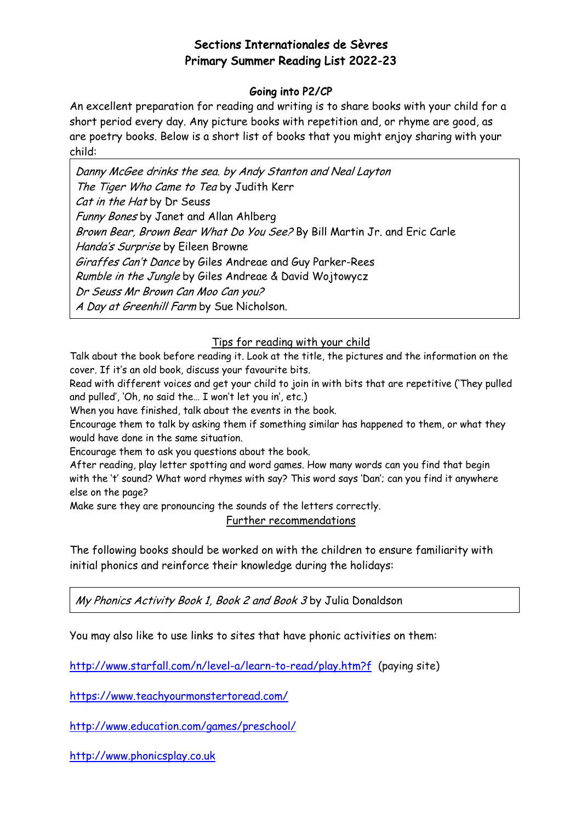## Sections Internationales de Sèvres Primary Summer Reading List 2022-23

### Going into P2/CP

An excellent preparation for reading and writing is to share books with your child for a short period every day. Any picture books with repetition and, or rhyme are good, as are poetry books. Below is a short list of books that you might enjoy sharing with your child:

Danny McGee drinks the sea. by Andy Stanton and Neal Layton The Tiger Who Came to Tea by Judith Kerr Cat in the Hat by Dr Seuss Funny Bones by Janet and Allan Ahlberg Brown Bear, Brown Bear What Do You See? By Bill Martin Jr. and Eric Carle Handa's Surprise by Eileen Browne Giraffes Can't Dance by Giles Andreae and Guy Parker-Rees Rumble in the Jungle by Giles Andreae & David Wojtowycz Dr Seuss Mr Brown Can Moo Can you? A Day at Greenhill Farm by Sue Nicholson.

#### Tips for reading with your child

Talk about the book before reading it. Look at the title, the pictures and the information on the cover. If it's an old book, discuss your favourite bits.

Read with different voices and get your child to join in with bits that are repetitive ('They pulled and pulled', 'Oh, no said the… I won't let you in', etc.)

When you have finished, talk about the events in the book.

Encourage them to talk by asking them if something similar has happened to them, or what they would have done in the same situation.

Encourage them to ask you questions about the book.

After reading, play letter spotting and word games. How many words can you find that begin with the 't' sound? What word rhymes with say? This word says 'Dan'; can you find it anywhere else on the page?

Make sure they are pronouncing the sounds of the letters correctly.

Further recommendations

The following books should be worked on with the children to ensure familiarity with initial phonics and reinforce their knowledge during the holidays:

My Phonics Activity Book 1, Book 2 and Book 3 by Julia Donaldson

You may also like to use links to sites that have phonic activities on them:

http://www.starfall.com/n/level-a/learn-to-read/play.htm?f (paying site)

https://www.teachyourmonstertoread.com/

http://www.education.com/games/preschool/

http://www.phonicsplay.co.uk